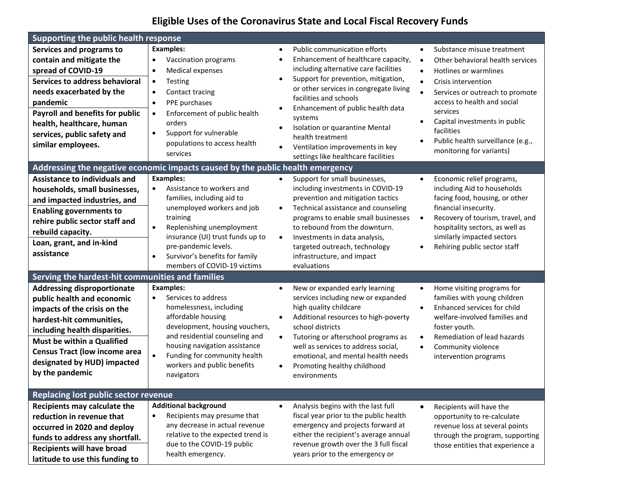## **Eligible Uses of the Coronavirus State and Local Fiscal Recovery Funds**

| Supporting the public health response                                                                                                                                                                                                                                                 |                                                                                                                                                                                                                                                                                                                               |                                                                                                                                                                                                                                                                                                                                                                                                                                                                                      |                                                                                                                                                                                                                                                                                                                                                     |  |
|---------------------------------------------------------------------------------------------------------------------------------------------------------------------------------------------------------------------------------------------------------------------------------------|-------------------------------------------------------------------------------------------------------------------------------------------------------------------------------------------------------------------------------------------------------------------------------------------------------------------------------|--------------------------------------------------------------------------------------------------------------------------------------------------------------------------------------------------------------------------------------------------------------------------------------------------------------------------------------------------------------------------------------------------------------------------------------------------------------------------------------|-----------------------------------------------------------------------------------------------------------------------------------------------------------------------------------------------------------------------------------------------------------------------------------------------------------------------------------------------------|--|
| Services and programs to<br>contain and mitigate the<br>spread of COVID-19<br>Services to address behavioral<br>needs exacerbated by the<br>pandemic<br>Payroll and benefits for public<br>health, healthcare, human<br>services, public safety and<br>similar employees.             | <b>Examples:</b><br>Vaccination programs<br>$\bullet$<br><b>Medical expenses</b><br>$\bullet$<br>Testing<br>$\bullet$<br>Contact tracing<br>$\bullet$<br>PPE purchases<br>$\bullet$<br>Enforcement of public health<br>$\bullet$<br>orders<br>Support for vulnerable<br>$\bullet$<br>populations to access health<br>services | <b>Public communication efforts</b><br>$\bullet$<br>Enhancement of healthcare capacity,<br>٠<br>including alternative care facilities<br>Support for prevention, mitigation,<br>$\bullet$<br>or other services in congregate living<br>facilities and schools<br>Enhancement of public health data<br>$\bullet$<br>systems<br>Isolation or quarantine Mental<br>$\bullet$<br>health treatment<br>Ventilation improvements in key<br>$\bullet$<br>settings like healthcare facilities | Substance misuse treatment<br>$\bullet$<br>Other behavioral health services<br>$\bullet$<br>Hotlines or warmlines<br>$\bullet$<br>Crisis intervention<br>Services or outreach to promote<br>access to health and social<br>services<br>Capital investments in public<br>facilities<br>Public health surveillance (e.g.,<br>monitoring for variants) |  |
|                                                                                                                                                                                                                                                                                       | Addressing the negative economic impacts caused by the public health emergency                                                                                                                                                                                                                                                |                                                                                                                                                                                                                                                                                                                                                                                                                                                                                      |                                                                                                                                                                                                                                                                                                                                                     |  |
| Assistance to individuals and<br>households, small businesses,<br>and impacted industries, and<br><b>Enabling governments to</b><br>rehire public sector staff and<br>rebuild capacity.<br>Loan, grant, and in-kind<br>assistance                                                     | <b>Examples:</b><br>Assistance to workers and<br>$\bullet$<br>families, including aid to<br>unemployed workers and job<br>training<br>Replenishing unemployment<br>$\bullet$<br>insurance (UI) trust funds up to<br>pre-pandemic levels.<br>Survivor's benefits for family<br>members of COVID-19 victims                     | Support for small businesses,<br>including investments in COVID-19<br>prevention and mitigation tactics<br>Technical assistance and counseling<br>$\bullet$<br>programs to enable small businesses<br>to rebound from the downturn.<br>Investments in data analysis,<br>$\bullet$<br>targeted outreach, technology<br>infrastructure, and impact<br>evaluations                                                                                                                      | Economic relief programs,<br>$\bullet$<br>including Aid to households<br>facing food, housing, or other<br>financial insecurity.<br>Recovery of tourism, travel, and<br>$\bullet$<br>hospitality sectors, as well as<br>similarly impacted sectors<br>Rehiring public sector staff                                                                  |  |
| Serving the hardest-hit communities and families                                                                                                                                                                                                                                      |                                                                                                                                                                                                                                                                                                                               |                                                                                                                                                                                                                                                                                                                                                                                                                                                                                      |                                                                                                                                                                                                                                                                                                                                                     |  |
| <b>Addressing disproportionate</b><br>public health and economic<br>impacts of the crisis on the<br>hardest-hit communities,<br>including health disparities.<br>Must be within a Qualified<br><b>Census Tract (low income area</b><br>designated by HUD) impacted<br>by the pandemic | <b>Examples:</b><br>Services to address<br>$\bullet$<br>homelessness, including<br>affordable housing<br>development, housing vouchers,<br>and residential counseling and<br>housing navigation assistance<br>$\bullet$<br>Funding for community health<br>workers and public benefits<br>navigators                          | New or expanded early learning<br>$\bullet$<br>services including new or expanded<br>high quality childcare<br>Additional resources to high-poverty<br>$\bullet$<br>school districts<br>Tutoring or afterschool programs as<br>$\bullet$<br>well as services to address social,<br>emotional, and mental health needs<br>Promoting healthy childhood<br>$\bullet$<br>environments                                                                                                    | Home visiting programs for<br>$\bullet$<br>families with young children<br>Enhanced services for child<br>welfare-involved families and<br>foster youth.<br>Remediation of lead hazards<br>Community violence<br>intervention programs                                                                                                              |  |
| Replacing lost public sector revenue                                                                                                                                                                                                                                                  |                                                                                                                                                                                                                                                                                                                               |                                                                                                                                                                                                                                                                                                                                                                                                                                                                                      |                                                                                                                                                                                                                                                                                                                                                     |  |
| Recipients may calculate the<br>reduction in revenue that<br>occurred in 2020 and deploy<br>funds to address any shortfall.<br><b>Recipients will have broad</b><br>latitude to use this funding to                                                                                   | <b>Additional background</b><br>Recipients may presume that<br>$\bullet$<br>any decrease in actual revenue<br>relative to the expected trend is<br>due to the COVID-19 public<br>health emergency.                                                                                                                            | Analysis begins with the last full<br>$\bullet$<br>fiscal year prior to the public health<br>emergency and projects forward at<br>either the recipient's average annual<br>revenue growth over the 3 full fiscal<br>years prior to the emergency or                                                                                                                                                                                                                                  | Recipients will have the<br>opportunity to re-calculate<br>revenue loss at several points<br>through the program, supporting<br>those entities that experience a                                                                                                                                                                                    |  |